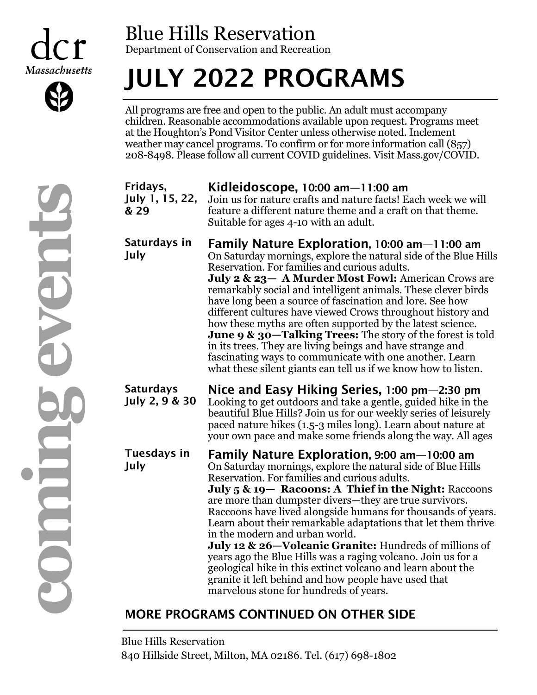



### Blue Hills Reservation Department of Conservation and Recreation

# JULY 2022 PROGRAMS

All programs are free and open to the public. An adult must accompany children. Reasonable accommodations available upon request. Programs meet at the Houghton's Pond Visitor Center unless otherwise noted. Inclement weather may cancel programs. To confirm or for more information call (857) 208-8498. Please follow all current COVID guidelines. Visit Mass.gov/COVID.

| Fridays,<br>July 1, 15, 22,<br>& 29 | Kidleidoscope, 10:00 am $-$ 11:00 am<br>Join us for nature crafts and nature facts! Each week we will<br>feature a different nature theme and a craft on that theme.<br>Suitable for ages 4-10 with an adult.                                                                                                                                                                                                                                                                                                                                                                                                                                                                                                                                         |
|-------------------------------------|-------------------------------------------------------------------------------------------------------------------------------------------------------------------------------------------------------------------------------------------------------------------------------------------------------------------------------------------------------------------------------------------------------------------------------------------------------------------------------------------------------------------------------------------------------------------------------------------------------------------------------------------------------------------------------------------------------------------------------------------------------|
| Saturdays in<br>July                | Family Nature Exploration, 10:00 am-11:00 am<br>On Saturday mornings, explore the natural side of the Blue Hills<br>Reservation. For families and curious adults.<br>July 2 & 23- A Murder Most Fowl: American Crows are<br>remarkably social and intelligent animals. These clever birds<br>have long been a source of fascination and lore. See how<br>different cultures have viewed Crows throughout history and<br>how these myths are often supported by the latest science.<br><b>June 9 &amp; 30—Talking Trees:</b> The story of the forest is told<br>in its trees. They are living beings and have strange and<br>fascinating ways to communicate with one another. Learn<br>what these silent giants can tell us if we know how to listen. |
| <b>Saturdays</b><br>July 2, 9 & 30  | Nice and Easy Hiking Series, 1:00 pm—2:30 pm<br>Looking to get outdoors and take a gentle, guided hike in the<br>beautiful Blue Hills? Join us for our weekly series of leisurely<br>paced nature hikes (1.5-3 miles long). Learn about nature at<br>your own pace and make some friends along the way. All ages                                                                                                                                                                                                                                                                                                                                                                                                                                      |
| Tuesdays in<br>July                 | Family Nature Exploration, 9:00 am-10:00 am<br>On Saturday mornings, explore the natural side of Blue Hills<br>Reservation. For families and curious adults.<br>July 5 & 19 – Racoons: A Thief in the Night: Raccoons<br>are more than dumpster divers—they are true survivors.<br>Raccoons have lived alongside humans for thousands of years.<br>Learn about their remarkable adaptations that let them thrive<br>in the modern and urban world.<br>July 12 & 26-Volcanic Granite: Hundreds of millions of<br>years ago the Blue Hills was a raging volcano. Join us for a<br>geological hike in this extinct volcano and learn about the<br>granite it left behind and how people have used that<br>marvelous stone for hundreds of years.         |

### MORE PROGRAMS CONTINUED ON OTHER SIDE